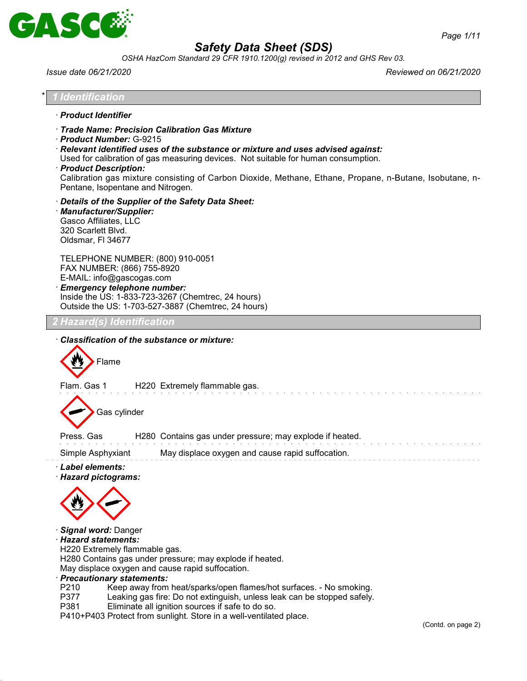

*OSHA HazCom Standard 29 CFR 1910.1200(g) revised in 2012 and GHS Rev 03.*

*Issue date 06/21/2020 Reviewed on 06/21/2020*

| <u>Identification</u>                                                          |                                                                                                                                                                                                                                                                                                                                                                                                                                     |
|--------------------------------------------------------------------------------|-------------------------------------------------------------------------------------------------------------------------------------------------------------------------------------------------------------------------------------------------------------------------------------------------------------------------------------------------------------------------------------------------------------------------------------|
| · Product Identifier                                                           |                                                                                                                                                                                                                                                                                                                                                                                                                                     |
|                                                                                | · Trade Name: Precision Calibration Gas Mixture<br>Product Number: G-9215<br>$\cdot$ Relevant identified uses of the substance or mixture and uses advised against:<br>Used for calibration of gas measuring devices. Not suitable for human consumption.<br>· Product Description:<br>Calibration gas mixture consisting of Carbon Dioxide, Methane, Ethane, Propane, n-Butane, Isobutane, n-<br>Pentane, Isopentane and Nitrogen. |
| 320 Scarlett Blvd.<br>Oldsmar, FI 34677                                        | Details of the Supplier of the Safety Data Sheet:<br>· Manufacturer/Supplier:<br>Gasco Affiliates, LLC                                                                                                                                                                                                                                                                                                                              |
|                                                                                | TELEPHONE NUMBER: (800) 910-0051<br>FAX NUMBER: (866) 755-8920<br>E-MAIL: info@gascogas.com<br><b>Emergency telephone number:</b><br>Inside the US: 1-833-723-3267 (Chemtrec, 24 hours)<br>Outside the US: 1-703-527-3887 (Chemtrec, 24 hours)                                                                                                                                                                                      |
|                                                                                | <b>Hazard(s) Identification</b>                                                                                                                                                                                                                                                                                                                                                                                                     |
| Flam. Gas 1                                                                    | Classification of the substance or mixture:<br>Flame<br>H220 Extremely flammable gas.<br>Gas cylinder                                                                                                                                                                                                                                                                                                                               |
|                                                                                |                                                                                                                                                                                                                                                                                                                                                                                                                                     |
| Press, Gas                                                                     | H280 Contains gas under pressure; may explode if heated.                                                                                                                                                                                                                                                                                                                                                                            |
| Simple Asphyxiant<br>· Label elements:<br>· Hazard statements:<br>P210<br>P377 | May displace oxygen and cause rapid suffocation.<br>· Hazard pictograms:<br>· Signal word: Danger<br>H220 Extremely flammable gas.<br>H280 Contains gas under pressure; may explode if heated.<br>May displace oxygen and cause rapid suffocation.<br>· Precautionary statements:<br>Keep away from heat/sparks/open flames/hot surfaces. - No smoking.<br>Leaking gas fire: Do not extinguish, unless leak can be stopped safely.  |

P410+P403 Protect from sunlight. Store in a well-ventilated place.

(Contd. on page 2)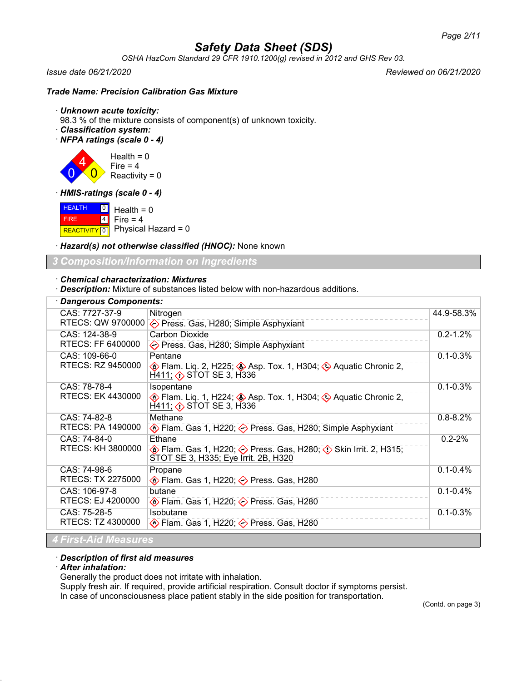*OSHA HazCom Standard 29 CFR 1910.1200(g) revised in 2012 and GHS Rev 03.*

 $\overline{0}$ 

*Issue date 06/21/2020 Reviewed on 06/21/2020*

## *Trade Name: Precision Calibration Gas Mixture*

### · *Unknown acute toxicity:*

98.3 % of the mixture consists of component(s) of unknown toxicity.

· *Classification system:*

· *NFPA ratings (scale 0 - 4)*

4  $\overline{0}$ Health  $= 0$ Fire  $= 4$ Reactivity =  $0$ 

· *HMIS-ratings (scale 0 - 4)*

**HEALTH**  FIRE REACTIVITY  $\boxed{0}$  Physical Hazard = 0  $\boxed{0}$ 4  $Health = 0$ Fire  $= 4$ 

· *Hazard(s) not otherwise classified (HNOC):* None known

*3 Composition/Information on Ingredients*

### · *Chemical characterization: Mixtures*

· *Description:* Mixture of substances listed below with non-hazardous additions.

| <b>Dangerous Components:</b>        |                                                                                                                                                           |              |  |
|-------------------------------------|-----------------------------------------------------------------------------------------------------------------------------------------------------------|--------------|--|
| CAS: 7727-37-9<br>RTECS: QW 9700000 | Nitrogen<br>◇ Press. Gas, H280; Simple Asphyxiant                                                                                                         | 44.9-58.3%   |  |
| CAS: 124-38-9<br>RTECS: FF 6400000  | <b>Carbon Dioxide</b><br>◇ Press. Gas, H280; Simple Asphyxiant                                                                                            | $0.2 - 1.2%$ |  |
| CAS: 109-66-0<br>RTECS: RZ 9450000  | Pentane<br>Elam. Liq. 2, H225; Asp. Tox. 1, H304; A Aquatic Chronic 2,<br>$H411;$ $\diamondsuit$ STOT SE 3, H336                                          | $0.1 - 0.3%$ |  |
| CAS: 78-78-4<br>RTECS: EK 4430000   | Isopentane<br>$\circled{}$ Flam. Liq. 1, H224; $\circled{}$ Asp. Tox. 1, H304; $\circled{}$ Aquatic Chronic 2,<br>$H$ 411; $\diamondsuit$ STOT SE 3, H336 | $0.1 - 0.3%$ |  |
| CAS: 74-82-8<br>RTECS: PA 1490000   | Methane<br>♦ Flam. Gas 1, H220; ♦ Press. Gas, H280; Simple Asphyxiant                                                                                     | $0.8 - 8.2%$ |  |
| CAS: 74-84-0<br>RTECS: KH 3800000   | Ethane<br><b>♦ Flam. Gas 1, H220; ♦ Press. Gas, H280; ♦ Skin Irrit. 2, H315;</b><br>STOT SE 3, H335; Eye Irrit. 2B, H320                                  | $0.2 - 2%$   |  |
| CAS: 74-98-6<br>RTECS: TX 2275000   | Propane<br>$\diamondsuit$ Flam. Gas 1, H220; $\diamondsuit$ Press. Gas, H280                                                                              | $0.1 - 0.4%$ |  |
| CAS: 106-97-8<br>RTECS: EJ 4200000  | butane<br>$\diamondsuit$ Flam. Gas 1, H220; $\diamondsuit$ Press. Gas, H280                                                                               | $0.1 - 0.4%$ |  |
| CAS: 75-28-5<br>RTECS: TZ 4300000   | Isobutane<br>$\diamondsuit$ Flam. Gas 1, H220; $\diamondsuit$ Press. Gas, H280                                                                            | $0.1 - 0.3%$ |  |
| <b>4 First-Aid Measures</b>         |                                                                                                                                                           |              |  |

#### · *Description of first aid measures*

### · *After inhalation:*

Generally the product does not irritate with inhalation.

Supply fresh air. If required, provide artificial respiration. Consult doctor if symptoms persist.

In case of unconsciousness place patient stably in the side position for transportation.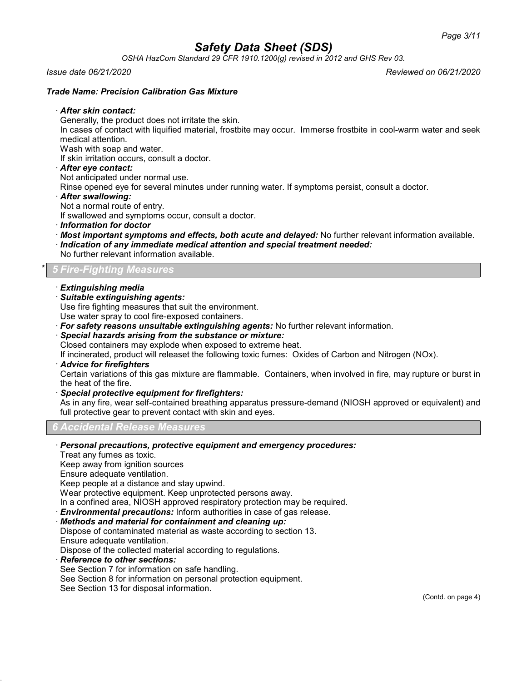*OSHA HazCom Standard 29 CFR 1910.1200(g) revised in 2012 and GHS Rev 03.*

*Issue date 06/21/2020 Reviewed on 06/21/2020*

## *Trade Name: Precision Calibration Gas Mixture*

### · *After skin contact:*

Generally, the product does not irritate the skin.

In cases of contact with liquified material, frostbite may occur. Immerse frostbite in cool-warm water and seek medical attention.

Wash with soap and water.

If skin irritation occurs, consult a doctor.

· *After eye contact:*

Not anticipated under normal use.

Rinse opened eye for several minutes under running water. If symptoms persist, consult a doctor.

· *After swallowing:*

Not a normal route of entry.

If swallowed and symptoms occur, consult a doctor.

- · *Information for doctor*
- · *Most important symptoms and effects, both acute and delayed:* No further relevant information available.
- · *Indication of any immediate medical attention and special treatment needed:*
- No further relevant information available.

## \* *5 Fire-Fighting Measures*

- · *Extinguishing media*
- · *Suitable extinguishing agents:*

Use fire fighting measures that suit the environment.

Use water spray to cool fire-exposed containers.

· *For safety reasons unsuitable extinguishing agents:* No further relevant information.

### · *Special hazards arising from the substance or mixture:*

Closed containers may explode when exposed to extreme heat.

If incinerated, product will releaset the following toxic fumes: Oxides of Carbon and Nitrogen (NOx).

· *Advice for firefighters*

Certain variations of this gas mixture are flammable. Containers, when involved in fire, may rupture or burst in the heat of the fire.

· *Special protective equipment for firefighters:*

As in any fire, wear self-contained breathing apparatus pressure-demand (NIOSH approved or equivalent) and full protective gear to prevent contact with skin and eyes.

## *6 Accidental Release Measures*

### · *Personal precautions, protective equipment and emergency procedures:*

Treat any fumes as toxic.

Keep away from ignition sources

Ensure adequate ventilation.

Keep people at a distance and stay upwind.

Wear protective equipment. Keep unprotected persons away.

In a confined area, NIOSH approved respiratory protection may be required.

· *Environmental precautions:* Inform authorities in case of gas release.

- · *Methods and material for containment and cleaning up:*
- Dispose of contaminated material as waste according to section 13.
- Ensure adequate ventilation.

Dispose of the collected material according to regulations.

- · *Reference to other sections:*
- See Section 7 for information on safe handling.
- See Section 8 for information on personal protection equipment.

See Section 13 for disposal information.

(Contd. on page 4)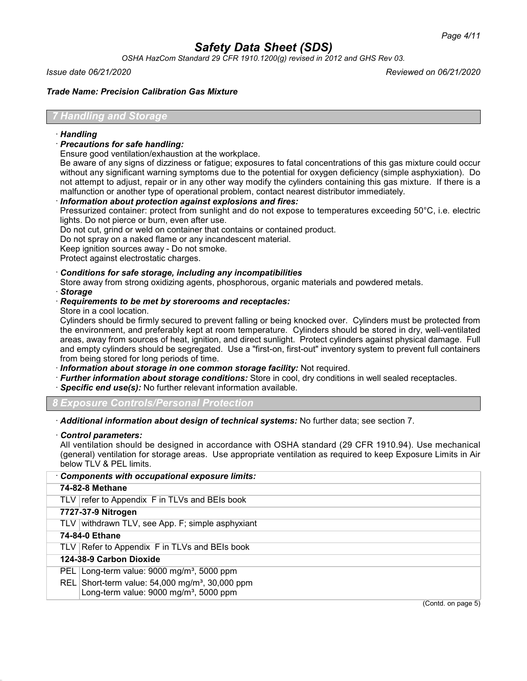*OSHA HazCom Standard 29 CFR 1910.1200(g) revised in 2012 and GHS Rev 03.*

*Issue date 06/21/2020 Reviewed on 06/21/2020*

*Trade Name: Precision Calibration Gas Mixture*

## *7 Handling and Storage*

## · *Handling*

- · *Precautions for safe handling:*
- Ensure good ventilation/exhaustion at the workplace.

Be aware of any signs of dizziness or fatigue; exposures to fatal concentrations of this gas mixture could occur without any significant warning symptoms due to the potential for oxygen deficiency (simple asphyxiation). Do not attempt to adjust, repair or in any other way modify the cylinders containing this gas mixture. If there is a malfunction or another type of operational problem, contact nearest distributor immediately.

## · *Information about protection against explosions and fires:*

Pressurized container: protect from sunlight and do not expose to temperatures exceeding 50°C, i.e. electric lights. Do not pierce or burn, even after use.

Do not cut, grind or weld on container that contains or contained product.

Do not spray on a naked flame or any incandescent material.

Keep ignition sources away - Do not smoke.

Protect against electrostatic charges.

## · *Conditions for safe storage, including any incompatibilities*

Store away from strong oxidizing agents, phosphorous, organic materials and powdered metals.

## · *Storage*

- · *Requirements to be met by storerooms and receptacles:*
- Store in a cool location.

Cylinders should be firmly secured to prevent falling or being knocked over. Cylinders must be protected from the environment, and preferably kept at room temperature. Cylinders should be stored in dry, well-ventilated areas, away from sources of heat, ignition, and direct sunlight. Protect cylinders against physical damage. Full and empty cylinders should be segregated. Use a "first-on, first-out" inventory system to prevent full containers from being stored for long periods of time.

· *Information about storage in one common storage facility:* Not required.

- · *Further information about storage conditions:* Store in cool, dry conditions in well sealed receptacles.
- · *Specific end use(s):* No further relevant information available.

*8 Exposure Controls/Personal Protection*

· *Additional information about design of technical systems:* No further data; see section 7.

#### · *Control parameters:*

All ventilation should be designed in accordance with OSHA standard (29 CFR 1910.94). Use mechanical (general) ventilation for storage areas. Use appropriate ventilation as required to keep Exposure Limits in Air below TLV & PEL limits.

| Components with occupational exposure limits:                                                                       |                    |
|---------------------------------------------------------------------------------------------------------------------|--------------------|
| 74-82-8 Methane                                                                                                     |                    |
| TLV refer to Appendix F in TLVs and BEIs book                                                                       |                    |
| 7727-37-9 Nitrogen                                                                                                  |                    |
| TLV withdrawn TLV, see App. F; simple asphyxiant                                                                    |                    |
| 74-84-0 Ethane                                                                                                      |                    |
| TLV Refer to Appendix F in TLVs and BEIs book                                                                       |                    |
| 124-38-9 Carbon Dioxide                                                                                             |                    |
| PEL Long-term value: $9000 \text{ mg/m}^3$ , 5000 ppm                                                               |                    |
| REL Short-term value: $54,000$ mg/m <sup>3</sup> , 30,000 ppm<br>Long-term value: 9000 mg/m <sup>3</sup> , 5000 ppm |                    |
|                                                                                                                     | (Contd. on page 5) |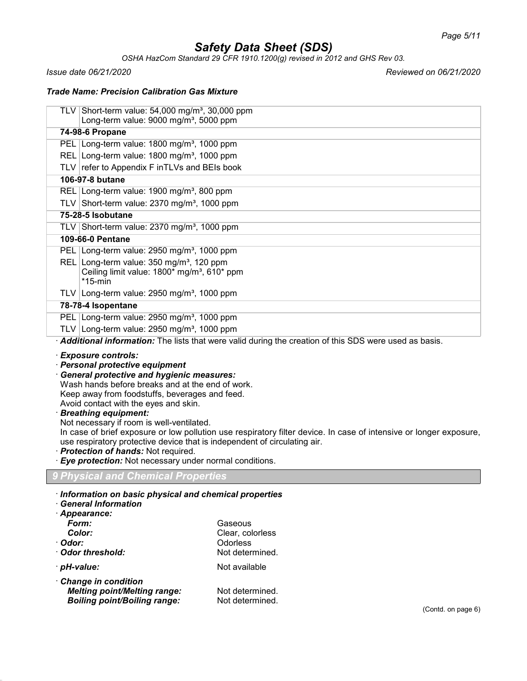*OSHA HazCom Standard 29 CFR 1910.1200(g) revised in 2012 and GHS Rev 03.*

*Issue date 06/21/2020 Reviewed on 06/21/2020*

## *Trade Name: Precision Calibration Gas Mixture*

| TLV Short-term value: $54,000$ mg/m <sup>3</sup> , 30,000 ppm<br>Long-term value: $9000$ mg/m <sup>3</sup> , 5000 ppm |
|-----------------------------------------------------------------------------------------------------------------------|
| 74-98-6 Propane                                                                                                       |
| PEL Long-term value: 1800 mg/m <sup>3</sup> , 1000 ppm                                                                |
| REL Long-term value: 1800 mg/m <sup>3</sup> , 1000 ppm                                                                |
| TLV refer to Appendix F inTLVs and BEIs book                                                                          |
| 106-97-8 butane                                                                                                       |
| REL Long-term value: 1900 mg/m <sup>3</sup> , 800 ppm                                                                 |
| TLV Short-term value: $2370$ mg/m <sup>3</sup> , 1000 ppm                                                             |
| 75-28-5 Isobutane                                                                                                     |
| TLV Short-term value: $2370 \text{ mg/m}^3$ , 1000 ppm                                                                |
| <b>109-66-0 Pentane</b>                                                                                               |
| PEL Long-term value: $2950$ mg/m <sup>3</sup> , 1000 ppm                                                              |
| REL Long-term value: $350 \text{ mg/m}^3$ , 120 ppm<br>Ceiling limit value: 1800* mg/m <sup>3</sup> , 610* ppm        |
| $*15$ -min                                                                                                            |
| TLV Long-term value: $2950$ mg/m <sup>3</sup> , 1000 ppm                                                              |
| 78-78-4 Isopentane                                                                                                    |
| PEL Long-term value: $2950$ mg/m <sup>3</sup> , 1000 ppm                                                              |
| TLV Long-term value: $2950$ mg/m <sup>3</sup> , 1000 ppm                                                              |

· *Additional information:* The lists that were valid during the creation of this SDS were used as basis.

· *Exposure controls:*

- · *Personal protective equipment*
- · *General protective and hygienic measures:*

Wash hands before breaks and at the end of work.

Keep away from foodstuffs, beverages and feed. Avoid contact with the eyes and skin.

· *Breathing equipment:*

Not necessary if room is well-ventilated.

In case of brief exposure or low pollution use respiratory filter device. In case of intensive or longer exposure, use respiratory protective device that is independent of circulating air.

## · *Protection of hands:* Not required.

· *Eye protection:* Not necessary under normal conditions.

## *9 Physical and Chemical Properties*

|  |  |  |  | · Information on basic physical and chemical properties |
|--|--|--|--|---------------------------------------------------------|
|  |  |  |  |                                                         |

## · *General Information*

| · Appearance:                       |                  |
|-------------------------------------|------------------|
| Form:                               | Gaseous          |
| Color:                              | Clear, colorless |
| · Odor:                             | Odorless         |
| Odor threshold:                     | Not determined.  |
| · <i>pH-value:</i>                  | Not available    |
| Change in condition                 |                  |
| <b>Melting point/Melting range:</b> | Not determined.  |
| <b>Boiling point/Boiling range:</b> | Not determined.  |
|                                     |                  |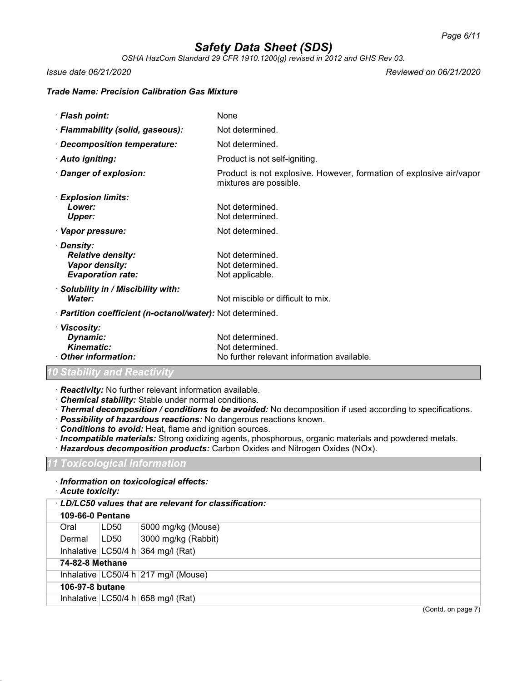*OSHA HazCom Standard 29 CFR 1910.1200(g) revised in 2012 and GHS Rev 03.*

*Issue date 06/21/2020 Reviewed on 06/21/2020*

## *Trade Name: Precision Calibration Gas Mixture*

| · Flash point:                                                                       | None                                                                                          |
|--------------------------------------------------------------------------------------|-----------------------------------------------------------------------------------------------|
| · Flammability (solid, gaseous):                                                     | Not determined.                                                                               |
| · Decomposition temperature:                                                         | Not determined.                                                                               |
| · Auto igniting:                                                                     | Product is not self-igniting.                                                                 |
| Danger of explosion:                                                                 | Product is not explosive. However, formation of explosive air/vapor<br>mixtures are possible. |
| · Explosion limits:<br>Lower:<br><b>Upper:</b>                                       | Not determined.<br>Not determined.                                                            |
| · Vapor pressure:                                                                    | Not determined.                                                                               |
| · Density:<br><b>Relative density:</b><br>Vapor density:<br><b>Evaporation rate:</b> | Not determined.<br>Not determined.<br>Not applicable.                                         |
| $\cdot$ Solubility in / Miscibility with:<br>Water:                                  | Not miscible or difficult to mix.                                                             |
| · Partition coefficient (n-octanol/water): Not determined.                           |                                                                                               |
| · Viscosity:<br>Dynamic:<br><b>Kinematic:</b><br><b>Other information:</b>           | Not determined.<br>Not determined.<br>No further relevant information available.              |
| 10 Stability and Reactivity                                                          |                                                                                               |

· *Reactivity:* No further relevant information available.

- · *Chemical stability:* Stable under normal conditions.
- · *Thermal decomposition / conditions to be avoided:* No decomposition if used according to specifications.
- · *Possibility of hazardous reactions:* No dangerous reactions known.
- · *Conditions to avoid:* Heat, flame and ignition sources.
- · *Incompatible materials:* Strong oxidizing agents, phosphorous, organic materials and powdered metals.
- · *Hazardous decomposition products:* Carbon Oxides and Nitrogen Oxides (NOx).

*11 Toxicological Information*

## · *Information on toxicological effects:*

· *Acute toxicity:*

| LD/LC50 values that are relevant for classification: |                        |      |                                        |  |  |
|------------------------------------------------------|------------------------|------|----------------------------------------|--|--|
|                                                      | 109-66-0 Pentane       |      |                                        |  |  |
|                                                      | Oral                   | LD50 | 5000 mg/kg (Mouse)                     |  |  |
|                                                      | Dermal                 | LD50 | 3000 mg/kg (Rabbit)                    |  |  |
|                                                      |                        |      | Inhalative $ LG50/4 h 364 mg/l (Rat) $ |  |  |
|                                                      | <b>74-82-8 Methane</b> |      |                                        |  |  |
|                                                      |                        |      | Inhalative LC50/4 h 217 mg/l (Mouse)   |  |  |
|                                                      | 106-97-8 butane        |      |                                        |  |  |
|                                                      |                        |      | Inhalative $ LG50/4 h 658 mg/l (Rat) $ |  |  |
|                                                      |                        |      | $(C_{\text{on}} + C_{\text{on}})$      |  |  |

(Contd. on page  $\prime$ )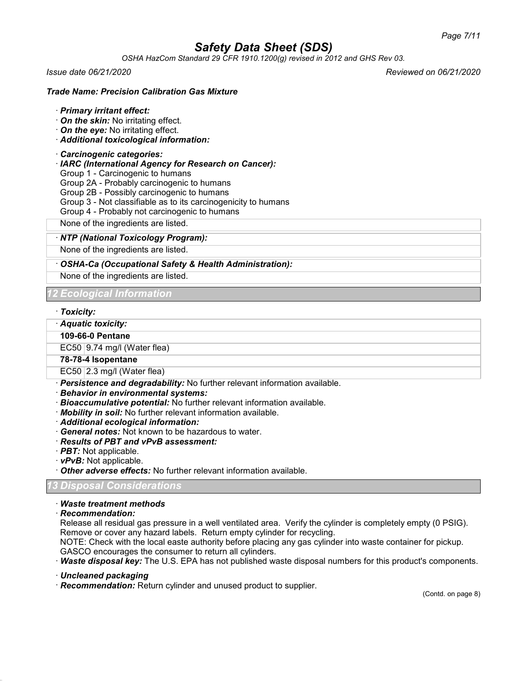*OSHA HazCom Standard 29 CFR 1910.1200(g) revised in 2012 and GHS Rev 03.*

*Issue date 06/21/2020 Reviewed on 06/21/2020*

## *Trade Name: Precision Calibration Gas Mixture*

### · *Primary irritant effect:*

- · *On the skin:* No irritating effect.
- · *On the eye:* No irritating effect.
- · *Additional toxicological information:*

### · *Carcinogenic categories:*

- · *IARC (International Agency for Research on Cancer):*
- Group 1 Carcinogenic to humans
- Group 2A Probably carcinogenic to humans
- Group 2B Possibly carcinogenic to humans
- Group 3 Not classifiable as to its carcinogenicity to humans
- Group 4 Probably not carcinogenic to humans

None of the ingredients are listed.

### · *NTP (National Toxicology Program):*

None of the ingredients are listed.

## · *OSHA-Ca (Occupational Safety & Health Administration):*

None of the ingredients are listed.

*12 Ecological Information*

#### · *Toxicity:*

· *Aquatic toxicity:*

### **109-66-0 Pentane**

EC50  $|9.74 \text{ mg/II}$  (Water flea)

## **78-78-4 Isopentane**

EC50 2.3 mg/l (Water flea)

- · *Persistence and degradability:* No further relevant information available.
- · *Behavior in environmental systems:*
- · *Bioaccumulative potential:* No further relevant information available.
- · *Mobility in soil:* No further relevant information available.
- · *Additional ecological information:*
- · *General notes:* Not known to be hazardous to water.
- · *Results of PBT and vPvB assessment:*
- · *PBT:* Not applicable.
- · *vPvB:* Not applicable.
- · *Other adverse effects:* No further relevant information available.

## *13 Disposal Considerations*

· *Waste treatment methods*

· *Recommendation:*

Release all residual gas pressure in a well ventilated area. Verify the cylinder is completely empty (0 PSIG). Remove or cover any hazard labels. Return empty cylinder for recycling.

NOTE: Check with the local easte authority before placing any gas cylinder into waste container for pickup. GASCO encourages the consumer to return all cylinders.

· *Waste disposal key:* The U.S. EPA has not published waste disposal numbers for this product's components.

· *Uncleaned packaging*

· *Recommendation:* Return cylinder and unused product to supplier.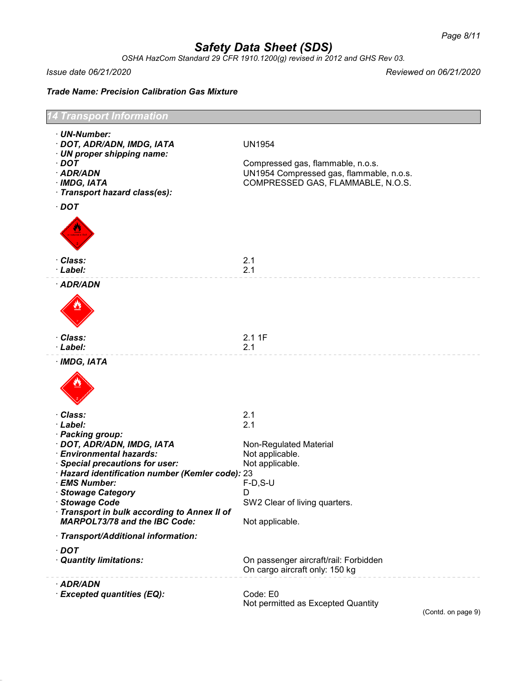*OSHA HazCom Standard 29 CFR 1910.1200(g) revised in 2012 and GHS Rev 03.*

*Issue date 06/21/2020 Reviewed on 06/21/2020*

*Trade Name: Precision Calibration Gas Mixture*

| Transport Information                                                                                                                                                                                                                                                                          |                                                                                                                                     |  |  |  |
|------------------------------------------------------------------------------------------------------------------------------------------------------------------------------------------------------------------------------------------------------------------------------------------------|-------------------------------------------------------------------------------------------------------------------------------------|--|--|--|
| · UN-Number:<br>· DOT, ADR/ADN, IMDG, IATA<br>· UN proper shipping name:<br>$\cdot$ DOT<br>· ADR/ADN<br>$\cdot$ IMDG, IATA<br>· Transport hazard class(es):                                                                                                                                    | <b>UN1954</b><br>Compressed gas, flammable, n.o.s.<br>UN1954 Compressed gas, flammable, n.o.s.<br>COMPRESSED GAS, FLAMMABLE, N.O.S. |  |  |  |
| $\cdot$ DOT<br>· Class:<br>· Label:                                                                                                                                                                                                                                                            | 2.1<br>2.1                                                                                                                          |  |  |  |
| · ADR/ADN                                                                                                                                                                                                                                                                                      |                                                                                                                                     |  |  |  |
| · Class:<br>· Label:                                                                                                                                                                                                                                                                           | 2.11F<br>2.1                                                                                                                        |  |  |  |
| · IMDG, IATA                                                                                                                                                                                                                                                                                   |                                                                                                                                     |  |  |  |
| · Class:<br>· Label:<br>· Packing group:                                                                                                                                                                                                                                                       | 2.1<br>2.1                                                                                                                          |  |  |  |
| · DOT, ADR/ADN, IMDG, IATA<br>· Environmental hazards:<br>· Special precautions for user:<br>· Hazard identification number (Kemler code): 23<br>· EMS Number:<br>· Stowage Category<br>· Stowage Code<br>· Transport in bulk according to Annex II of<br><b>MARPOL73/78 and the IBC Code:</b> | Non-Regulated Material<br>Not applicable.<br>Not applicable.<br>$F-D, S-U$<br>D<br>SW2 Clear of living quarters.<br>Not applicable. |  |  |  |
| · Transport/Additional information:                                                                                                                                                                                                                                                            |                                                                                                                                     |  |  |  |
| $\cdot$ DOT<br>· Quantity limitations:                                                                                                                                                                                                                                                         | On passenger aircraft/rail: Forbidden<br>On cargo aircraft only: 150 kg                                                             |  |  |  |
| · ADR/ADN<br>· Excepted quantities (EQ):                                                                                                                                                                                                                                                       | Code: E0<br>Not permitted as Excepted Quantity                                                                                      |  |  |  |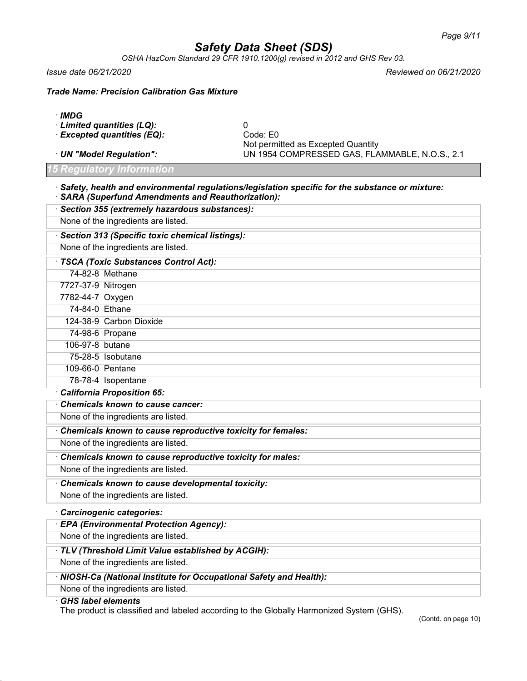*OSHA HazCom Standard 29 CFR 1910.1200(g) revised in 2012 and GHS Rev 03.*

*Issue date 06/21/2020 Reviewed on 06/21/2020*

*Trade Name: Precision Calibration Gas Mixture*

- · *IMDG*
- · *Limited quantities (LQ):* 0
- · *Excepted quantities (EQ):*
- 

*15 Regulatory Information*

Not permitted as Excepted Quantity · *UN "Model Regulation":* UN 1954 COMPRESSED GAS, FLAMMABLE, N.O.S., 2.1

· *Safety, health and environmental regulations/legislation specific for the substance or mixture:* · *SARA (Superfund Amendments and Reauthorization):*

| · Section 355 (extremely hazardous substances):     |                                                             |  |  |
|-----------------------------------------------------|-------------------------------------------------------------|--|--|
| None of the ingredients are listed.                 |                                                             |  |  |
| · Section 313 (Specific toxic chemical listings):   |                                                             |  |  |
| None of the ingredients are listed.                 |                                                             |  |  |
| · TSCA (Toxic Substances Control Act):              |                                                             |  |  |
|                                                     | 74-82-8 Methane                                             |  |  |
| 7727-37-9 Nitrogen                                  |                                                             |  |  |
| 7782-44-7 Oxygen                                    |                                                             |  |  |
| 74-84-0 Ethane                                      |                                                             |  |  |
|                                                     | 124-38-9 Carbon Dioxide                                     |  |  |
|                                                     | 74-98-6 Propane                                             |  |  |
| 106-97-8 butane                                     |                                                             |  |  |
|                                                     | 75-28-5   Isobutane                                         |  |  |
| 109-66-0 Pentane                                    |                                                             |  |  |
|                                                     | 78-78-4   Isopentane                                        |  |  |
|                                                     | California Proposition 65:                                  |  |  |
|                                                     | Chemicals known to cause cancer:                            |  |  |
|                                                     | None of the ingredients are listed.                         |  |  |
|                                                     | Chemicals known to cause reproductive toxicity for females: |  |  |
|                                                     | None of the ingredients are listed.                         |  |  |
|                                                     | Chemicals known to cause reproductive toxicity for males:   |  |  |
|                                                     | None of the ingredients are listed.                         |  |  |
|                                                     | Chemicals known to cause developmental toxicity:            |  |  |
|                                                     | None of the ingredients are listed.                         |  |  |
| Carcinogenic categories:                            |                                                             |  |  |
|                                                     | · EPA (Environmental Protection Agency):                    |  |  |
| None of the ingredients are listed.                 |                                                             |  |  |
| · TLV (Threshold Limit Value established by ACGIH): |                                                             |  |  |
|                                                     | None of the ingredients are listed.                         |  |  |

## · *NIOSH-Ca (National Institute for Occupational Safety and Health):*

None of the ingredients are listed.

· *GHS label elements*

The product is classified and labeled according to the Globally Harmonized System (GHS).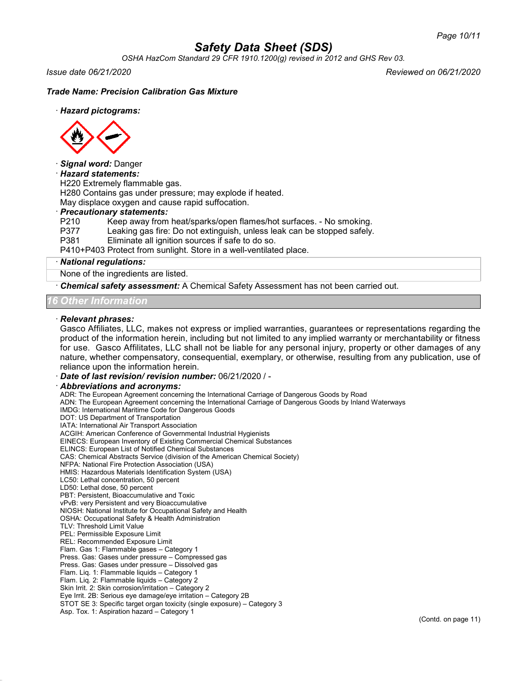*OSHA HazCom Standard 29 CFR 1910.1200(g) revised in 2012 and GHS Rev 03.*

*Issue date 06/21/2020 Reviewed on 06/21/2020*

### *Trade Name: Precision Calibration Gas Mixture*

#### · *Hazard pictograms:*



#### · *Signal word:* Danger

#### · *Hazard statements:*

H220 Extremely flammable gas.

H280 Contains gas under pressure; may explode if heated.

May displace oxygen and cause rapid suffocation.

# · *Precautionary statements:*

Keep away from heat/sparks/open flames/hot surfaces. - No smoking.

P377 Leaking gas fire: Do not extinguish, unless leak can be stopped safely.<br>P381 Eliminate all ignition sources if safe to do so.

Eliminate all ignition sources if safe to do so.

P410+P403 Protect from sunlight. Store in a well-ventilated place.

#### · *National regulations:*

None of the ingredients are listed.

· *Chemical safety assessment:* A Chemical Safety Assessment has not been carried out.

*16 Other Information*

#### · *Relevant phrases:*

Gasco Affiliates, LLC, makes not express or implied warranties, guarantees or representations regarding the product of the information herein, including but not limited to any implied warranty or merchantability or fitness for use. Gasco Affilitates, LLC shall not be liable for any personal injury, property or other damages of any nature, whether compensatory, consequential, exemplary, or otherwise, resulting from any publication, use of reliance upon the information herein.

· *Date of last revision/ revision number:* 06/21/2020 / -

#### · *Abbreviations and acronyms:*

ADR: The European Agreement concerning the International Carriage of Dangerous Goods by Road ADN: The European Agreement concerning the International Carriage of Dangerous Goods by Inland Waterways IMDG: International Maritime Code for Dangerous Goods DOT: US Department of Transportation IATA: International Air Transport Association ACGIH: American Conference of Governmental Industrial Hygienists EINECS: European Inventory of Existing Commercial Chemical Substances ELINCS: European List of Notified Chemical Substances CAS: Chemical Abstracts Service (division of the American Chemical Society) NFPA: National Fire Protection Association (USA) HMIS: Hazardous Materials Identification System (USA) LC50: Lethal concentration, 50 percent LD50: Lethal dose, 50 percent PBT: Persistent, Bioaccumulative and Toxic vPvB: very Persistent and very Bioaccumulative NIOSH: National Institute for Occupational Safety and Health OSHA: Occupational Safety & Health Administration TLV: Threshold Limit Value PEL: Permissible Exposure Limit REL: Recommended Exposure Limit Flam. Gas 1: Flammable gases – Category 1 Press. Gas: Gases under pressure – Compressed gas Press. Gas: Gases under pressure – Dissolved gas Flam. Liq. 1: Flammable liquids – Category 1 Flam. Liq. 2: Flammable liquids – Category 2 Skin Irrit. 2: Skin corrosion/irritation – Category 2 Eye Irrit. 2B: Serious eye damage/eye irritation – Category 2B STOT SE 3: Specific target organ toxicity (single exposure) – Category 3 Asp. Tox. 1: Aspiration hazard – Category 1